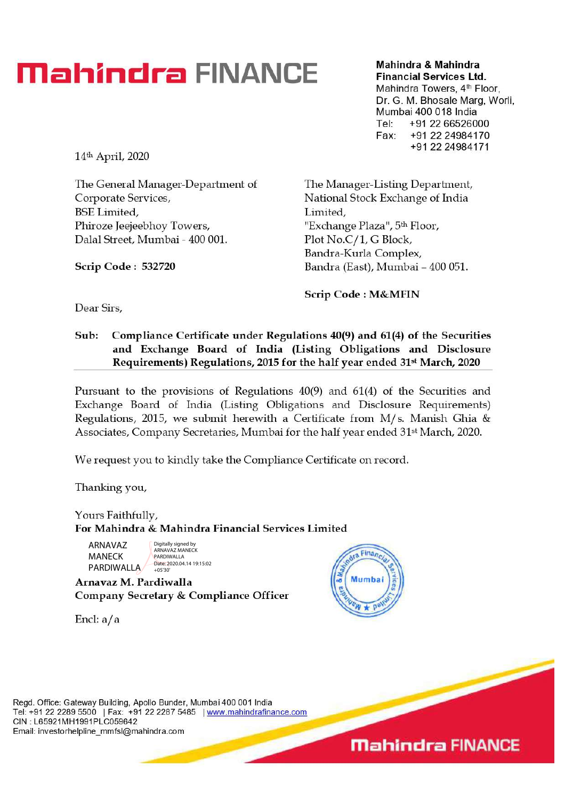# **Mahindra FINANCE Mahindra & Mahindra**

**Financial Services Ltd.**  Mahindra Towers, 4<sup>th</sup> Floor, Dr. G. M. Bhosale Marg, Worli. Mumbai 400 018 India Tel: +91 22 66526000 Fax: +91 22 24984170 +91 22 24984171

14th April, 2020

The General Manager-Department of Corporate Services, BSE Limited, Phiroze Jeejeebhoy Towers, Dalai. Street, Mumbai - 400 001.

**Scrip Code : 532720** 

The Manager-Listing Department, National Stock Exchange of India Limited, "Exchange Plaza'", 5th Floor, Plot No.C/1, G Block, Bandra-Kurla Complex, Bandra (East), Mumbai - 400 051.

**Scrip Code : M&MFIN** 

**Dear Sirs,** 

### **Sub: Compliance Certificate under Regulations 40(9) and 61(4) of the Securities and Exchange Board of India (Listing Obligations and Disclosure Requirements) Regulations, 2015 for the half year ended 31st March, 2020**

Pursuant to the provisions of Regulations 40(9) and 61(4) of the Securities and Exchange Board of India (Listing Obligations and Disclosure Requirements) Regulations, 2015, we submit herewith a Certificate from M/ s. Manish Ghia & Associates, Company Secretaries, Mumbai for the half year ended 31<sup>st</sup> March, 2020.

We request you to kindly take the Compliance Certificate on record.

Thanking you,

Yours Faithfully, **For Mahindra & Mahindra Financial Services Limited** 

ARNAVAZ MANECK PARDIWALLA

Digitally signed by ARNAVAZ MANECK PARDIWALLA Date: 2020.04.14 19:15:02  $+05'30$ 

**Arnavaz M. Pardiwalla Company Secretary & Compliance Officer** 

Encl: a/a



Regd. Office: Gateway Building, Apollo Bunder, Mumbai 400 001 India Tel: +91 22 2289 5500 | Fax: +91 22 2287 5485 | www.mahindrafinance.com CIN : L65921MH1991PLC059642 Email: investorhelpline\_mmfsl@mahindra.com

**Mahindra FINANCE**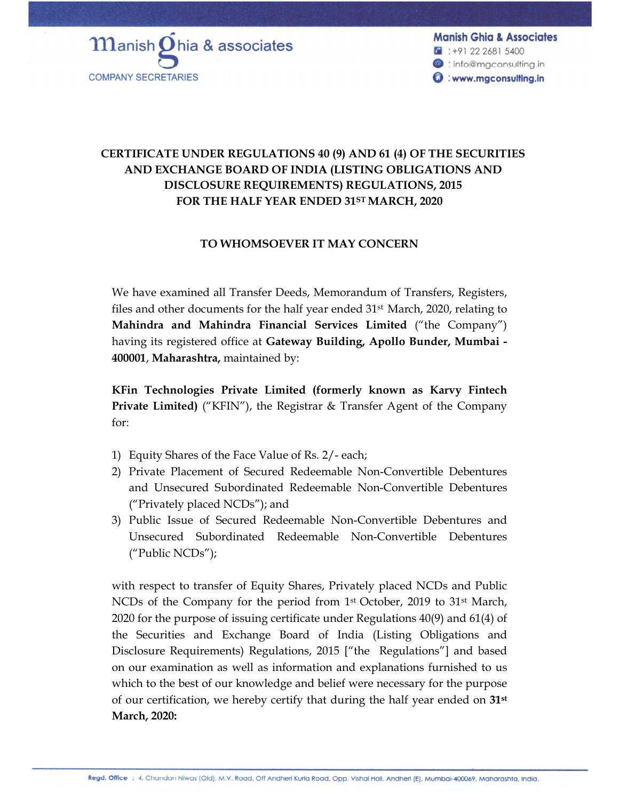

**Manish Ghia & Associates**  $C$  : +91 22 2681 5400 <sup>@</sup>: info@mgconsulting.in **O**: www.mgconsulting.in

## **CERTIFICATE UNDER REGULATIONS 40 (9) AND 61 (4) OF THE SECURITIES AND EXCHANGE BOARD OF INDIA (LISTING OBLIGATIONS AND DISCLOSURE REQUIREMENTS) REGULATIONS, 2015 FOR THE HALF YEAR ENDED 31ST MARCH, 2020**

#### **TO WHOMSOEVER IT MAY CONCERN**

We have examined all Transfer Deeds, Memorandum of Transfers, Registers, files and other documents for the half year ended 31 st March, 2020, relating to **Mahindra and Mahindra Financial Services Limited** ("the Company") having its registered office at **Gateway Building, Apollo Bunder, Mumbai - 400001**, **Maharashtra,** maintained by:

**KFin Technologies Private Limited (formerly known as Karvy Fintech Private Limited)** ("KFIN"), the Registrar & Transfer Agent of the Company for:

- 1) Equity Shares of the Face Value of Rs. 2/- each;
- 2) Private Placement of Secured Redeemable Non-Convertible Debentures and Unsecured Subordinated Redeemable Non-Convertible Debentures ("Privately placed NCDs"); and
- 3) Public Issue of Secured Redeemable Non-Convertible Debentures and Unsecured Subordinated Redeemable Non-Convertible Debentures ("Public NCDs");

with respect to transfer of Equity Shares, Privately placed NCDs and Public NCDs of the Company for the period from  $1<sup>st</sup>$  October, 2019 to 31<sup>st</sup> March, 2020 for the purpose of issuing certificate under Regulations 40(9) and 61(4) of the Securities and Exchange Board of India (Listing Obligations and Disclosure Requirements) Regulations, 2015 ["the Regulations"] and based on our examination as well as information and explanations furnished to us which to the best of our knowledge and belief were necessary for the purpose of our certification, we hereby certify that during the half year ended on **31st March, 2020:**